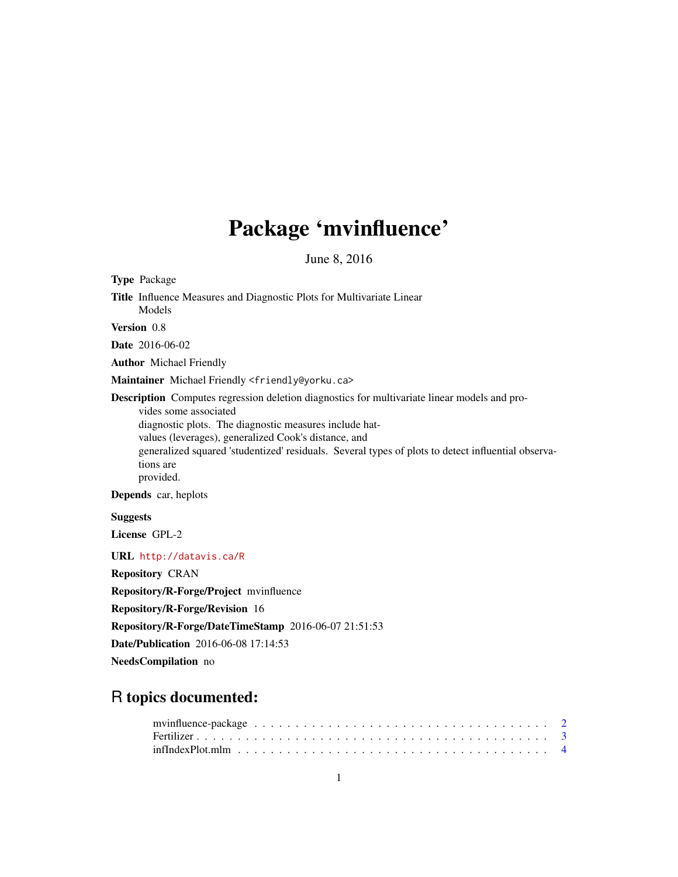## Package 'mvinfluence'

June 8, 2016

<span id="page-0-0"></span>Type Package Title Influence Measures and Diagnostic Plots for Multivariate Linear Models Version 0.8 Date 2016-06-02 Author Michael Friendly Maintainer Michael Friendly <friendly@yorku.ca> Description Computes regression deletion diagnostics for multivariate linear models and provides some associated diagnostic plots. The diagnostic measures include hatvalues (leverages), generalized Cook's distance, and generalized squared 'studentized' residuals. Several types of plots to detect influential observations are provided. Depends car, heplots Suggests License GPL-2 URL <http://datavis.ca/R> Repository CRAN Repository/R-Forge/Project mvinfluence Repository/R-Forge/Revision 16 Repository/R-Forge/DateTimeStamp 2016-06-07 21:51:53 Date/Publication 2016-06-08 17:14:53

NeedsCompilation no

## R topics documented: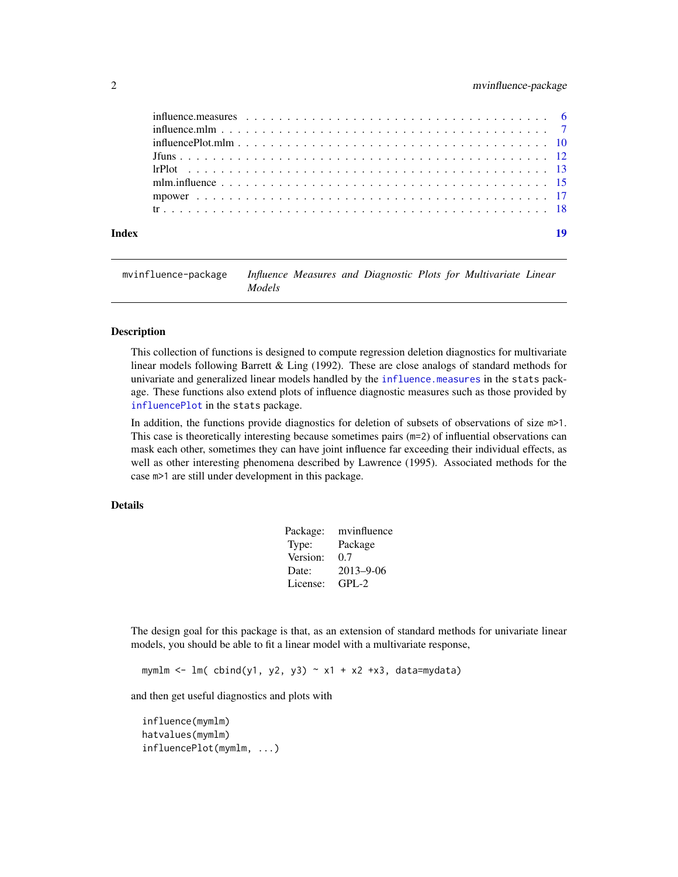<span id="page-1-0"></span>

| Index | 19 |
|-------|----|
|       |    |
|       |    |
|       |    |
|       |    |
|       |    |
|       |    |
|       |    |
|       |    |

mvinfluence-package *Influence Measures and Diagnostic Plots for Multivariate Linear Models*

### Description

This collection of functions is designed to compute regression deletion diagnostics for multivariate linear models following Barrett & Ling (1992). These are close analogs of standard methods for univariate and generalized linear models handled by the [influence.measures](#page-5-1) in the stats package. These functions also extend plots of influence diagnostic measures such as those provided by [influencePlot](#page-0-0) in the stats package.

In addition, the functions provide diagnostics for deletion of subsets of observations of size m>1. This case is theoretically interesting because sometimes pairs (m=2) of influential observations can mask each other, sometimes they can have joint influence far exceeding their individual effects, as well as other interesting phenomena described by Lawrence (1995). Associated methods for the case m>1 are still under development in this package.

### Details

| Package: | mvinfluence     |
|----------|-----------------|
| Type:    | Package         |
| Version: | 0.7             |
| Date:    | $2013 - 9 - 06$ |
| License: | GPL-2           |

The design goal for this package is that, as an extension of standard methods for univariate linear models, you should be able to fit a linear model with a multivariate response,

mymlm <- lm(  $cbind(y1, y2, y3)$   $\sim$  x1 + x2 +x3, data=mydata)

and then get useful diagnostics and plots with

influence(mymlm) hatvalues(mymlm) influencePlot(mymlm, ...)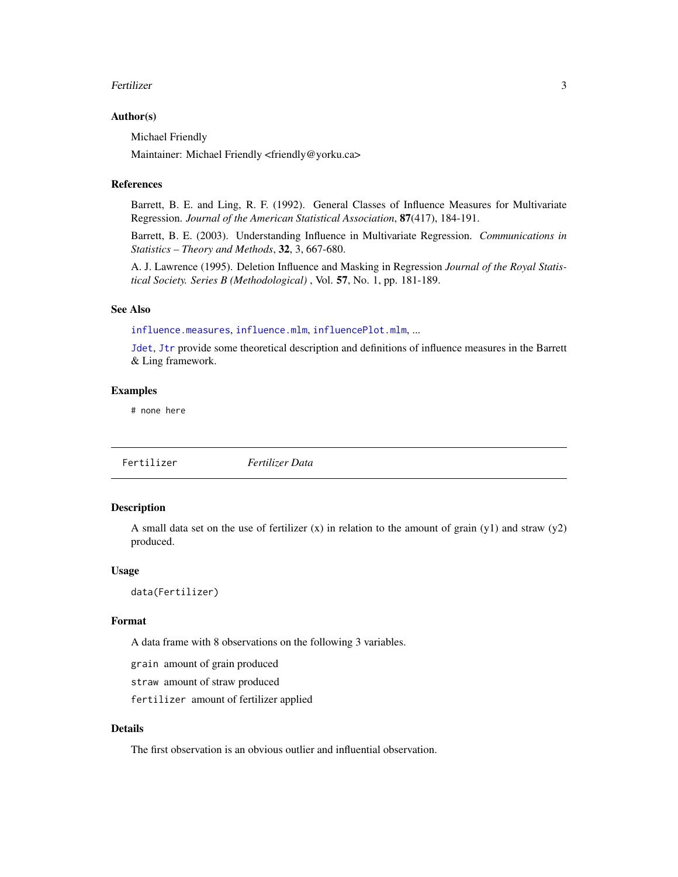### <span id="page-2-0"></span>Fertilizer 3

### Author(s)

Michael Friendly

Maintainer: Michael Friendly <friendly@yorku.ca>

### References

Barrett, B. E. and Ling, R. F. (1992). General Classes of Influence Measures for Multivariate Regression. *Journal of the American Statistical Association*, 87(417), 184-191.

Barrett, B. E. (2003). Understanding Influence in Multivariate Regression. *Communications in Statistics – Theory and Methods*, 32, 3, 667-680.

A. J. Lawrence (1995). Deletion Influence and Masking in Regression *Journal of the Royal Statistical Society. Series B (Methodological)* , Vol. 57, No. 1, pp. 181-189.

### See Also

[influence.measures](#page-5-1), [influence.mlm](#page-6-1), [influencePlot.mlm](#page-9-1), ...

[Jdet](#page-11-1), [Jtr](#page-11-1) provide some theoretical description and definitions of influence measures in the Barrett & Ling framework.

### Examples

# none here

Fertilizer *Fertilizer Data*

### Description

A small data set on the use of fertilizer  $(x)$  in relation to the amount of grain  $(y1)$  and straw  $(y2)$ produced.

### Usage

data(Fertilizer)

### Format

A data frame with 8 observations on the following 3 variables.

grain amount of grain produced

straw amount of straw produced

fertilizer amount of fertilizer applied

### Details

The first observation is an obvious outlier and influential observation.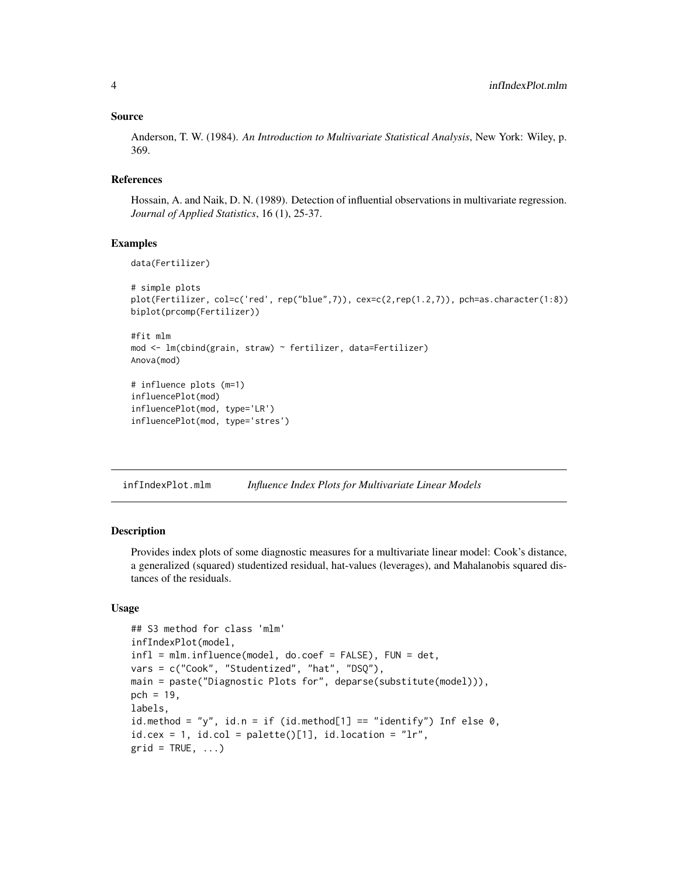### Source

Anderson, T. W. (1984). *An Introduction to Multivariate Statistical Analysis*, New York: Wiley, p. 369.

### References

Hossain, A. and Naik, D. N. (1989). Detection of influential observations in multivariate regression. *Journal of Applied Statistics*, 16 (1), 25-37.

### Examples

```
data(Fertilizer)
# simple plots
plot(Fertilizer, col=c('red', rep("blue",7)), cex=c(2,rep(1.2,7)), pch=as.character(1:8))
biplot(prcomp(Fertilizer))
#fit mlm
mod <- lm(cbind(grain, straw) ~ fertilizer, data=Fertilizer)
Anova(mod)
# influence plots (m=1)
influencePlot(mod)
influencePlot(mod, type='LR')
influencePlot(mod, type='stres')
```
infIndexPlot.mlm *Influence Index Plots for Multivariate Linear Models*

### **Description**

Provides index plots of some diagnostic measures for a multivariate linear model: Cook's distance, a generalized (squared) studentized residual, hat-values (leverages), and Mahalanobis squared distances of the residuals.

### Usage

```
## S3 method for class 'mlm'
infIndexPlot(model,
infl = mlm.influence(model, do.coef = FALSE), FUN = det,
vars = c("Cook", "Studentized", "hat", "DSQ"),
main = paste("Diagnostic Plots for", deparse(substitute(model))),
pch = 19,
labels,
id.method = "y", id.n = if (id.method[1] == "identify") Inf else \varnothing,
id.cex = 1, id.co1 = palette() [1], id.location = "lr",grid = TRUE, ...)
```
<span id="page-3-0"></span>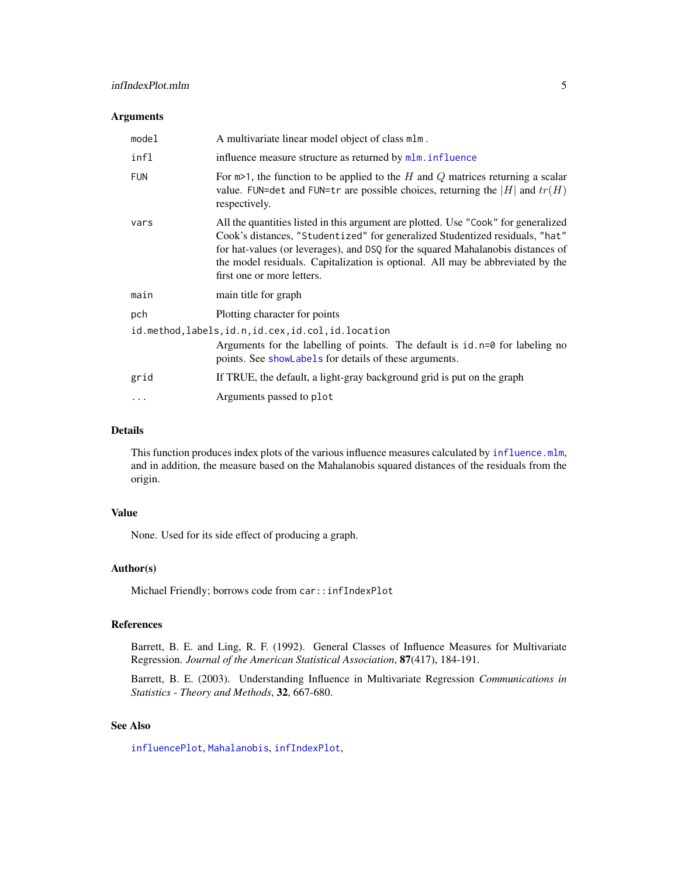### <span id="page-4-0"></span>Arguments

| model      | A multivariate linear model object of class mlm.                                                                                                                                                                                                                                                                                                                      |
|------------|-----------------------------------------------------------------------------------------------------------------------------------------------------------------------------------------------------------------------------------------------------------------------------------------------------------------------------------------------------------------------|
| infl       | influence measure structure as returned by mlm. influence                                                                                                                                                                                                                                                                                                             |
| <b>FUN</b> | For $m>1$ , the function to be applied to the H and Q matrices returning a scalar<br>value. FUN=det and FUN=tr are possible choices, returning the  H  and $tr(H)$<br>respectively.                                                                                                                                                                                   |
| vars       | All the quantities listed in this argument are plotted. Use "Cook" for generalized<br>Cook's distances, "Studentized" for generalized Studentized residuals, "hat"<br>for hat-values (or leverages), and DSQ for the squared Mahalanobis distances of<br>the model residuals. Capitalization is optional. All may be abbreviated by the<br>first one or more letters. |
| main       | main title for graph                                                                                                                                                                                                                                                                                                                                                  |
| pch        | Plotting character for points                                                                                                                                                                                                                                                                                                                                         |
|            | id.method, labels, id.n, id.cex, id.col, id.location<br>Arguments for the labelling of points. The default is $id.n=0$ for labeling no<br>points. See showLabels for details of these arguments.                                                                                                                                                                      |
| grid       | If TRUE, the default, a light-gray background grid is put on the graph                                                                                                                                                                                                                                                                                                |
| .          | Arguments passed to plot                                                                                                                                                                                                                                                                                                                                              |

### Details

This function produces index plots of the various influence measures calculated by [influence.mlm](#page-6-1), and in addition, the measure based on the Mahalanobis squared distances of the residuals from the origin.

### Value

None. Used for its side effect of producing a graph.

### Author(s)

Michael Friendly; borrows code from car::infIndexPlot

### References

Barrett, B. E. and Ling, R. F. (1992). General Classes of Influence Measures for Multivariate Regression. *Journal of the American Statistical Association*, 87(417), 184-191.

Barrett, B. E. (2003). Understanding Influence in Multivariate Regression *Communications in Statistics - Theory and Methods*, 32, 667-680.

### See Also

[influencePlot](#page-0-0), [Mahalanobis](#page-0-0), [infIndexPlot](#page-0-0),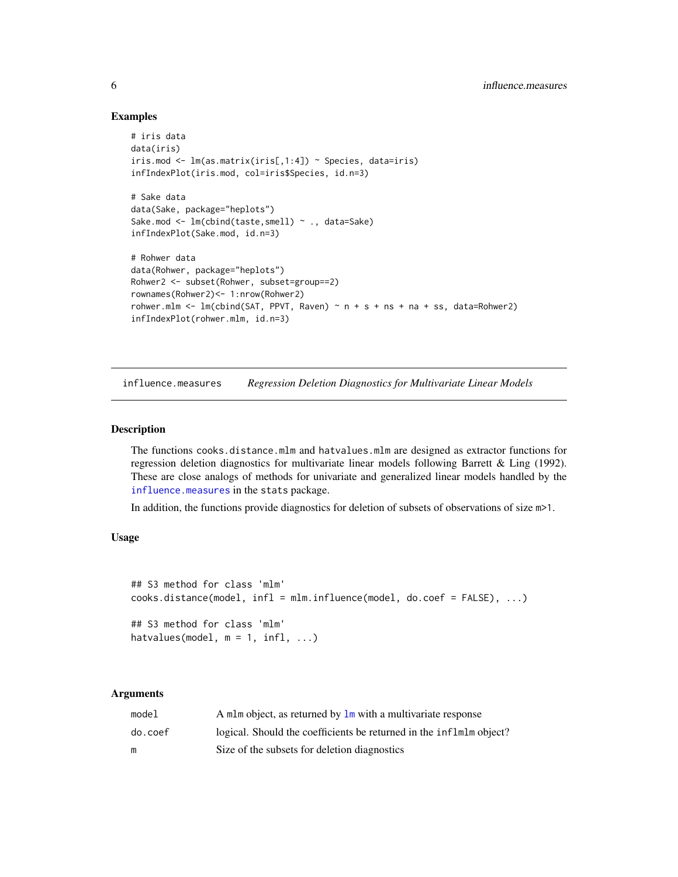### Examples

```
# iris data
data(iris)
iris.mod <- lm(as.matrix(iris[,1:4]) ~ Species, data=iris)
infIndexPlot(iris.mod, col=iris$Species, id.n=3)
# Sake data
data(Sake, package="heplots")
Sake.mod <- lm(cbind(taste,smell) ~ ., data=Sake)
infIndexPlot(Sake.mod, id.n=3)
# Rohwer data
data(Rohwer, package="heplots")
Rohwer2 <- subset(Rohwer, subset=group==2)
rownames(Rohwer2)<- 1:nrow(Rohwer2)
rohwer.mlm <- lm(cbind(SAT, PPVT, Raven) \sim n + s + ns + na + ss, data=Rohwer2)
infIndexPlot(rohwer.mlm, id.n=3)
```
<span id="page-5-1"></span>influence.measures *Regression Deletion Diagnostics for Multivariate Linear Models*

### Description

The functions cooks.distance.mlm and hatvalues.mlm are designed as extractor functions for regression deletion diagnostics for multivariate linear models following Barrett & Ling (1992). These are close analogs of methods for univariate and generalized linear models handled by the [influence.measures](#page-5-1) in the stats package.

In addition, the functions provide diagnostics for deletion of subsets of observations of size m>1.

### Usage

```
## S3 method for class 'mlm'
cooks.distance(model, infl = mlm.influence(model, do.coef = FALSE), ...)
```

```
## S3 method for class 'mlm'
hatvalues(model, m = 1, infl, ...)
```
### Arguments

| model   | A mlm object, as returned by $\text{Im}$ with a multivariate response |
|---------|-----------------------------------------------------------------------|
| do.coef | logical. Should the coefficients be returned in the inflmlm object?   |
| m       | Size of the subsets for deletion diagnostics                          |

<span id="page-5-0"></span>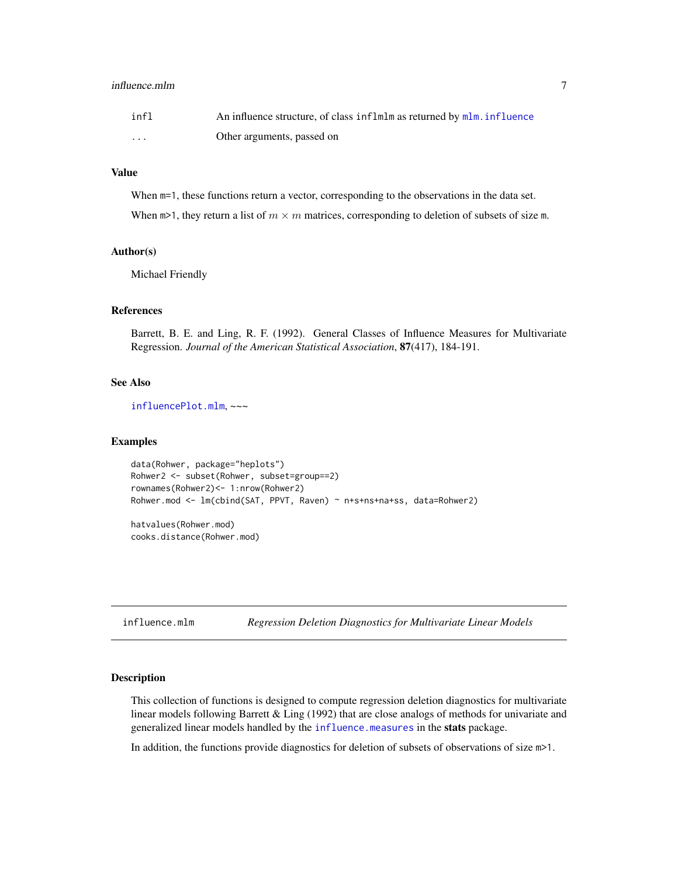### <span id="page-6-0"></span>influence.mlm 7

| infl     | An influence structure, of class inflmlm as returned by mlm. influence |
|----------|------------------------------------------------------------------------|
| $\cdots$ | Other arguments, passed on                                             |

### Value

When  $m=1$ , these functions return a vector, corresponding to the observations in the data set.

When  $m>1$ , they return a list of  $m \times m$  matrices, corresponding to deletion of subsets of size m.

### Author(s)

Michael Friendly

### References

Barrett, B. E. and Ling, R. F. (1992). General Classes of Influence Measures for Multivariate Regression. *Journal of the American Statistical Association*, 87(417), 184-191.

### See Also

[influencePlot.mlm](#page-9-1), ~~~

### Examples

```
data(Rohwer, package="heplots")
Rohwer2 <- subset(Rohwer, subset=group==2)
rownames(Rohwer2)<- 1:nrow(Rohwer2)
Rohwer.mod <- lm(cbind(SAT, PPVT, Raven) ~ n+s+ns+na+ss, data=Rohwer2)
```
hatvalues(Rohwer.mod) cooks.distance(Rohwer.mod)

<span id="page-6-1"></span>influence.mlm *Regression Deletion Diagnostics for Multivariate Linear Models*

### Description

This collection of functions is designed to compute regression deletion diagnostics for multivariate linear models following Barrett & Ling (1992) that are close analogs of methods for univariate and generalized linear models handled by the [influence.measures](#page-5-1) in the stats package.

In addition, the functions provide diagnostics for deletion of subsets of observations of size m>1.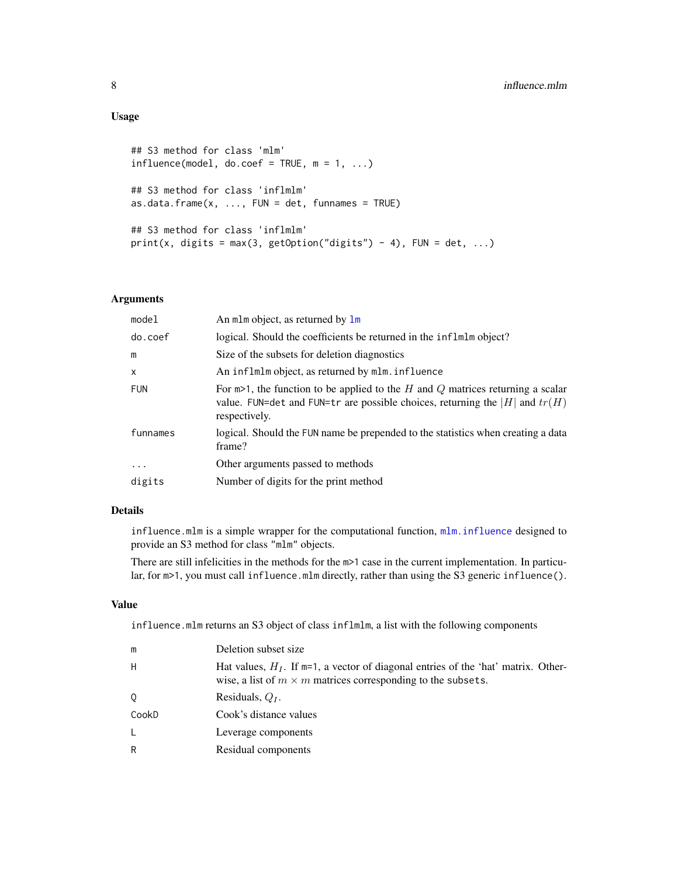### <span id="page-7-0"></span>Usage

```
## S3 method for class 'mlm'
influence(model, do.coef = TRUE, m = 1, ...)## S3 method for class 'inflmlm'
as.data. frame(x, ..., FUN = det, funnames = TRUE)## S3 method for class 'inflmlm'
print(x, digits = max(3, getOption("digits") - 4), FUN = det, ...)
```
### Arguments

| model      | An mlm object, as returned by lm                                                                                                                                                    |
|------------|-------------------------------------------------------------------------------------------------------------------------------------------------------------------------------------|
| do.coef    | logical. Should the coefficients be returned in the inflmlm object?                                                                                                                 |
| m          | Size of the subsets for deletion diagnostics                                                                                                                                        |
| $\times$   | An inflmlm object, as returned by mlm. influence                                                                                                                                    |
| <b>FUN</b> | For $m>1$ , the function to be applied to the H and Q matrices returning a scalar<br>value. FUN=det and FUN=tr are possible choices, returning the  H  and $tr(H)$<br>respectively. |
| funnames   | logical. Should the FUN name be prepended to the statistics when creating a data<br>frame?                                                                                          |
| $\ddots$   | Other arguments passed to methods                                                                                                                                                   |
| digits     | Number of digits for the print method                                                                                                                                               |

### Details

influence.mlm is a simple wrapper for the computational function,  $mlm$ . influence designed to provide an S3 method for class "mlm" objects.

There are still infelicities in the methods for the m>1 case in the current implementation. In particular, for  $m>1$ , you must call influence.mlm directly, rather than using the S3 generic influence().

### Value

influence.mlm returns an S3 object of class inflmlm, a list with the following components

| m     | Deletion subset size                                                                                                                                           |
|-------|----------------------------------------------------------------------------------------------------------------------------------------------------------------|
| H     | Hat values, $H_I$ . If $m=1$ , a vector of diagonal entries of the 'hat' matrix. Other-<br>wise, a list of $m \times m$ matrices corresponding to the subsets. |
| 0     | Residuals, $QI$ .                                                                                                                                              |
| CookD | Cook's distance values                                                                                                                                         |
| L     | Leverage components                                                                                                                                            |
| R     | Residual components                                                                                                                                            |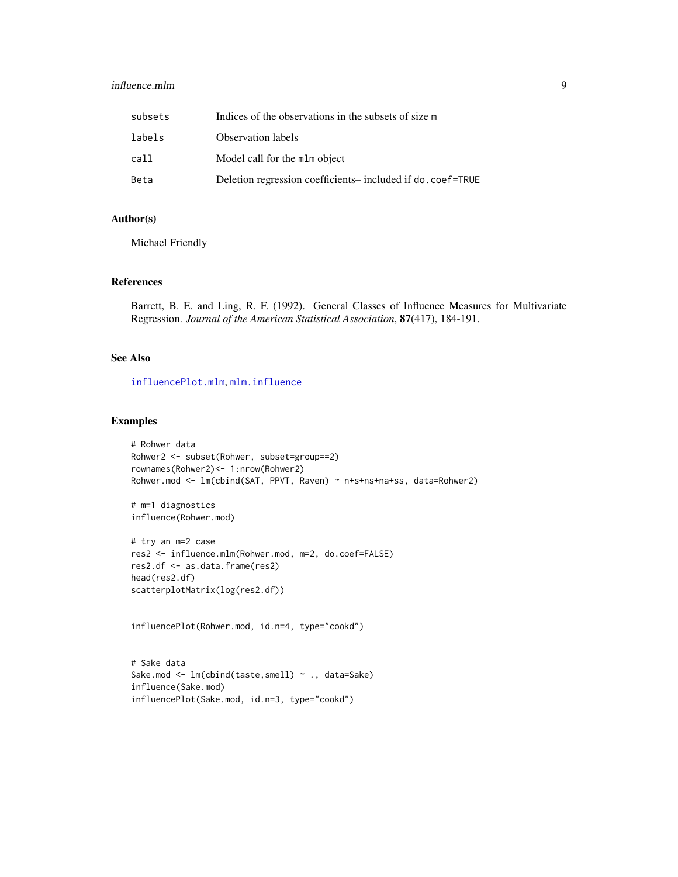### <span id="page-8-0"></span>influence.mlm 9

| subsets | Indices of the observations in the subsets of size m       |
|---------|------------------------------------------------------------|
| labels  | <b>Observation labels</b>                                  |
| call    | Model call for the mlm object                              |
| Beta    | Deletion regression coefficients-included if do. coef=TRUE |

### Author(s)

Michael Friendly

### References

Barrett, B. E. and Ling, R. F. (1992). General Classes of Influence Measures for Multivariate Regression. *Journal of the American Statistical Association*, 87(417), 184-191.

### See Also

[influencePlot.mlm](#page-9-1), [mlm.influence](#page-14-1)

### Examples

```
# Rohwer data
Rohwer2 <- subset(Rohwer, subset=group==2)
rownames(Rohwer2)<- 1:nrow(Rohwer2)
Rohwer.mod <- lm(cbind(SAT, PPVT, Raven) ~ n+s+ns+na+ss, data=Rohwer2)
# m=1 diagnostics
```
influence(Rohwer.mod)

```
# try an m=2 case
res2 <- influence.mlm(Rohwer.mod, m=2, do.coef=FALSE)
res2.df <- as.data.frame(res2)
head(res2.df)
scatterplotMatrix(log(res2.df))
```
influencePlot(Rohwer.mod, id.n=4, type="cookd")

```
# Sake data
Sake.mod <- lm(cbind(taste,smell) ~ ., data=Sake)
influence(Sake.mod)
influencePlot(Sake.mod, id.n=3, type="cookd")
```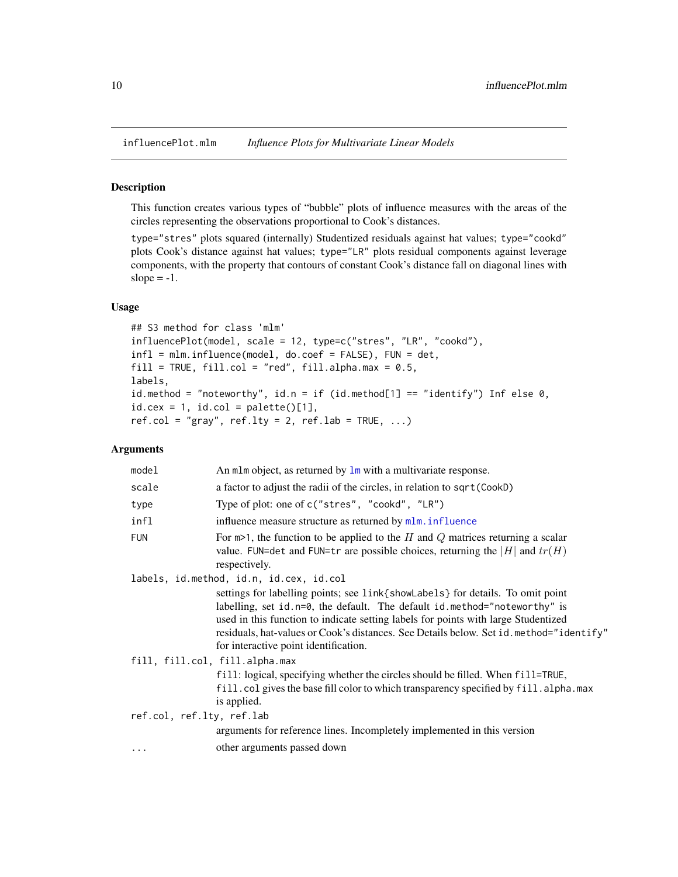<span id="page-9-1"></span><span id="page-9-0"></span>

### Description

This function creates various types of "bubble" plots of influence measures with the areas of the circles representing the observations proportional to Cook's distances.

type="stres" plots squared (internally) Studentized residuals against hat values; type="cookd" plots Cook's distance against hat values; type="LR" plots residual components against leverage components, with the property that contours of constant Cook's distance fall on diagonal lines with slope  $= -1$ .

### Usage

```
## S3 method for class 'mlm'
influencePlot(model, scale = 12, type=c("stres", "LR", "cookd"),
infl = mlm.influence(model, do.coef = FALSE), FUN = det,
fill = TRUE, fill,col = "red", fill.alpha.max = 0.5,labels,
id.method = "noteworthy", id.n = if (id.method[1] == "identify") Inf else \theta,
id. cex = 1, id. col = palette() [1],ref.col = "gray", ref.lty = 2, ref.lab = TRUE, ...)
```
### Arguments

| model                     | An mlm object, as returned by lm with a multivariate response.                                                                                                                                                                                                                                                                                                                          |
|---------------------------|-----------------------------------------------------------------------------------------------------------------------------------------------------------------------------------------------------------------------------------------------------------------------------------------------------------------------------------------------------------------------------------------|
| scale                     | a factor to adjust the radii of the circles, in relation to sqrt (CookD)                                                                                                                                                                                                                                                                                                                |
| type                      | Type of plot: one of c("stres", "cookd", "LR")                                                                                                                                                                                                                                                                                                                                          |
| infl                      | influence measure structure as returned by mlm. influence                                                                                                                                                                                                                                                                                                                               |
| <b>FUN</b>                | For $m>1$ , the function to be applied to the H and Q matrices returning a scalar<br>value. FUN=det and FUN=tr are possible choices, returning the  H  and $tr(H)$<br>respectively.                                                                                                                                                                                                     |
|                           | labels, id.method, id.n, id.cex, id.col                                                                                                                                                                                                                                                                                                                                                 |
|                           | settings for labelling points; see link{showLabels} for details. To omit point<br>labelling, set id. n=0, the default. The default id. method="noteworthy" is<br>used in this function to indicate setting labels for points with large Studentized<br>residuals, hat-values or Cook's distances. See Details below. Set id. method="identify"<br>for interactive point identification. |
|                           | fill, fill.col, fill.alpha.max                                                                                                                                                                                                                                                                                                                                                          |
|                           | fill: logical, specifying whether the circles should be filled. When fill=TRUE,<br>fill.col gives the base fill color to which transparency specified by fill.alpha.max<br>is applied.                                                                                                                                                                                                  |
| ref.col, ref.lty, ref.lab |                                                                                                                                                                                                                                                                                                                                                                                         |
|                           | arguments for reference lines. Incompletely implemented in this version                                                                                                                                                                                                                                                                                                                 |
| $\cdots$                  | other arguments passed down                                                                                                                                                                                                                                                                                                                                                             |
|                           |                                                                                                                                                                                                                                                                                                                                                                                         |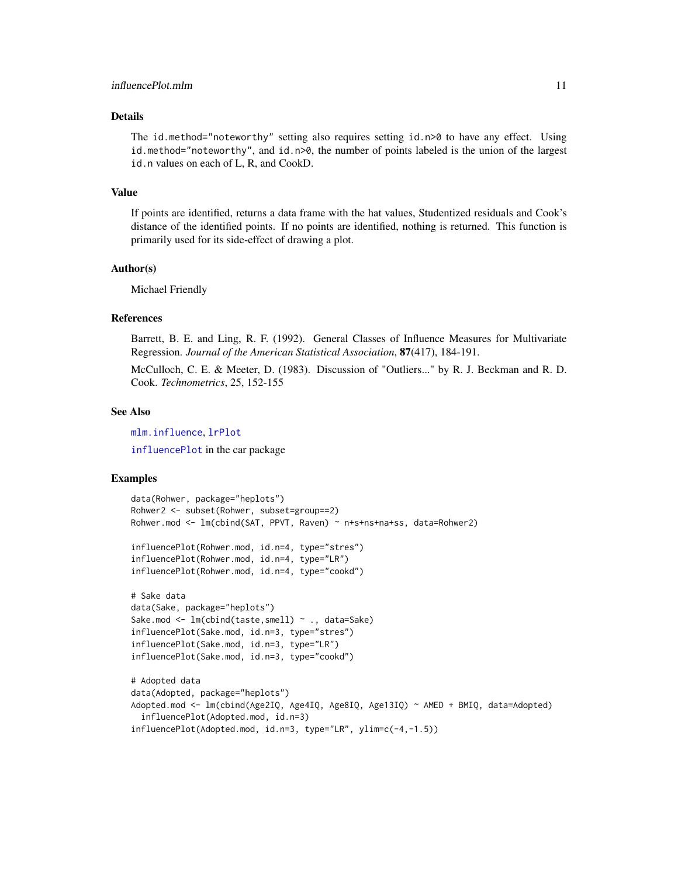### <span id="page-10-0"></span>Details

The id.method="noteworthy" setting also requires setting id.n>0 to have any effect. Using id.method="noteworthy", and id.n>0, the number of points labeled is the union of the largest id.n values on each of L, R, and CookD.

### Value

If points are identified, returns a data frame with the hat values, Studentized residuals and Cook's distance of the identified points. If no points are identified, nothing is returned. This function is primarily used for its side-effect of drawing a plot.

### Author(s)

Michael Friendly

### References

Barrett, B. E. and Ling, R. F. (1992). General Classes of Influence Measures for Multivariate Regression. *Journal of the American Statistical Association*, 87(417), 184-191.

McCulloch, C. E. & Meeter, D. (1983). Discussion of "Outliers..." by R. J. Beckman and R. D. Cook. *Technometrics*, 25, 152-155

### See Also

[mlm.influence](#page-14-1), [lrPlot](#page-12-1)

[influencePlot](#page-0-0) in the car package

### Examples

```
data(Rohwer, package="heplots")
Rohwer2 <- subset(Rohwer, subset=group==2)
Rohwer.mod <- lm(cbind(SAT, PPVT, Raven) ~ n+s+ns+na+ss, data=Rohwer2)
influencePlot(Rohwer.mod, id.n=4, type="stres")
influencePlot(Rohwer.mod, id.n=4, type="LR")
influencePlot(Rohwer.mod, id.n=4, type="cookd")
# Sake data
data(Sake, package="heplots")
Sake.mod <- lm(cbind(taste,smell) ~ ., data=Sake)
influencePlot(Sake.mod, id.n=3, type="stres")
influencePlot(Sake.mod, id.n=3, type="LR")
influencePlot(Sake.mod, id.n=3, type="cookd")
# Adopted data
data(Adopted, package="heplots")
Adopted.mod <- lm(cbind(Age2IQ, Age4IQ, Age8IQ, Age13IQ) ~ AMED + BMIQ, data=Adopted)
  influencePlot(Adopted.mod, id.n=3)
influencePlot(Adopted.mod, id.n=3, type="LR", ylim=c(-4,-1.5))
```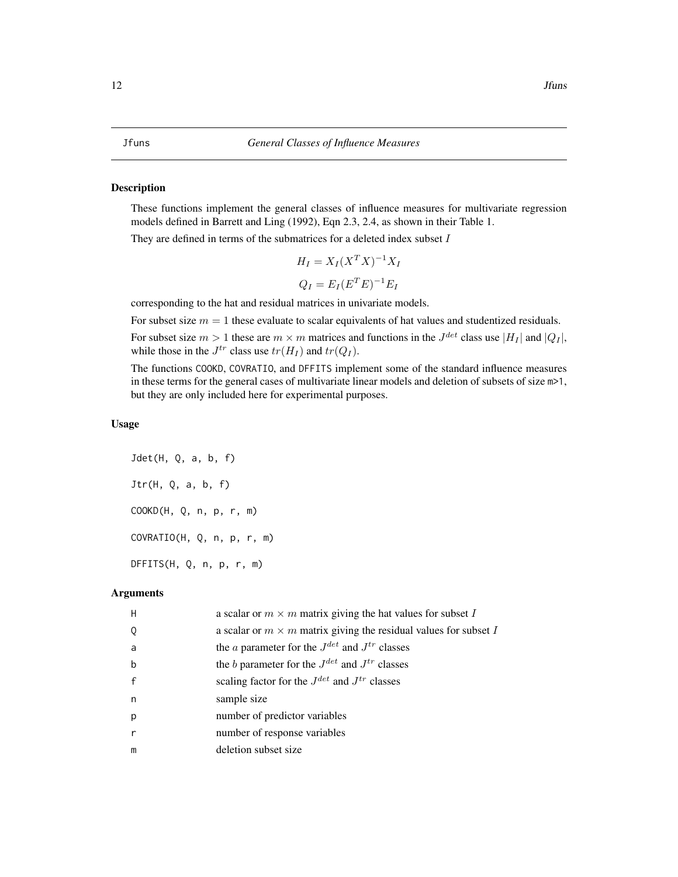### <span id="page-11-1"></span><span id="page-11-0"></span>Description

These functions implement the general classes of influence measures for multivariate regression models defined in Barrett and Ling (1992), Eqn 2.3, 2.4, as shown in their Table 1.

They are defined in terms of the submatrices for a deleted index subset  $I$ 

$$
H_I = X_I (X^T X)^{-1} X_I
$$
  

$$
Q_I = E_I (E^T E)^{-1} E_I
$$

corresponding to the hat and residual matrices in univariate models.

For subset size  $m = 1$  these evaluate to scalar equivalents of hat values and studentized residuals.

For subset size  $m > 1$  these are  $m \times m$  matrices and functions in the  $J^{det}$  class use  $|H_I|$  and  $|Q_I|$ , while those in the  $J^{tr}$  class use  $tr(H_I)$  and  $tr(Q_I)$ .

The functions COOKD, COVRATIO, and DFFITS implement some of the standard influence measures in these terms for the general cases of multivariate linear models and deletion of subsets of size m>1, but they are only included here for experimental purposes.

### Usage

Jdet(H, Q, a, b, f) Jtr(H, Q, a, b, f) COOKD(H, Q, n, p, r, m) COVRATIO(H, Q, n, p, r, m) DFFITS(H, Q, n, p, r, m)

### Arguments

| H | a scalar or $m \times m$ matrix giving the hat values for subset I      |
|---|-------------------------------------------------------------------------|
|   | a scalar or $m \times m$ matrix giving the residual values for subset I |
| a | the <i>a</i> parameter for the $J^{det}$ and $J^{tr}$ classes           |
| b | the <i>b</i> parameter for the $J^{det}$ and $J^{tr}$ classes           |
|   | scaling factor for the $J^{det}$ and $J^{tr}$ classes                   |
| n | sample size                                                             |
| р | number of predictor variables                                           |
| r | number of response variables                                            |
| m | deletion subset size                                                    |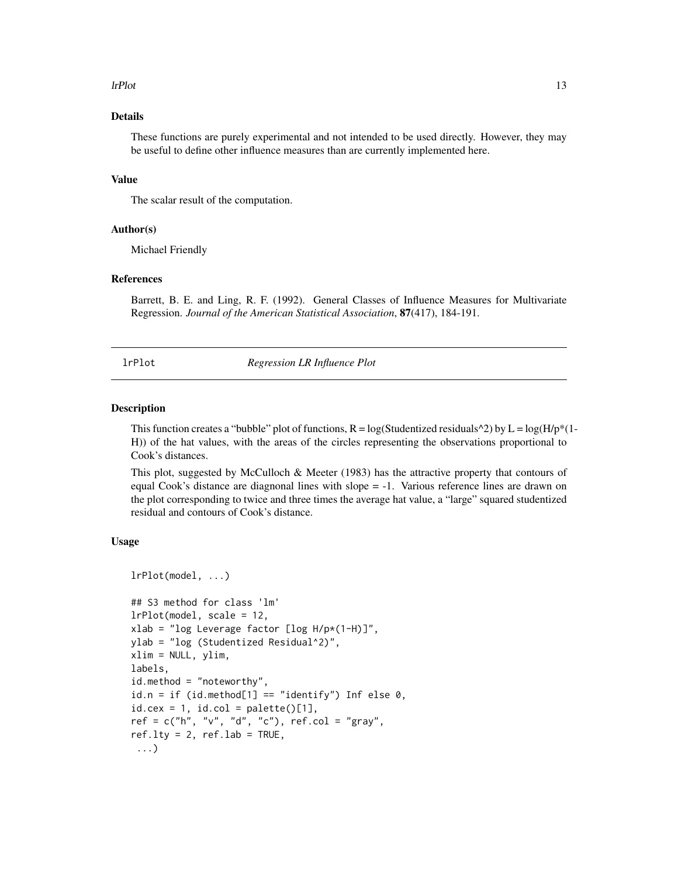### <span id="page-12-0"></span>lrPlot the state of the state of the state of the state of the state of the state of the state of the state of the state of the state of the state of the state of the state of the state of the state of the state of the sta

### Details

These functions are purely experimental and not intended to be used directly. However, they may be useful to define other influence measures than are currently implemented here.

### Value

The scalar result of the computation.

### Author(s)

Michael Friendly

### References

Barrett, B. E. and Ling, R. F. (1992). General Classes of Influence Measures for Multivariate Regression. *Journal of the American Statistical Association*, 87(417), 184-191.

<span id="page-12-1"></span>

lrPlot *Regression LR Influence Plot*

### Description

This function creates a "bubble" plot of functions,  $R = \log(S$ tudentized residuals^2) by L =  $\log(H/p^*(1-P))$ H)) of the hat values, with the areas of the circles representing the observations proportional to Cook's distances.

This plot, suggested by McCulloch & Meeter (1983) has the attractive property that contours of equal Cook's distance are diagnonal lines with slope = -1. Various reference lines are drawn on the plot corresponding to twice and three times the average hat value, a "large" squared studentized residual and contours of Cook's distance.

### Usage

```
lrPlot(model, ...)
```

```
## S3 method for class 'lm'
lrPlot(model, scale = 12,
xlab = "log Leverage factor [log H/p*(1-H)]",
ylab = "log (Studentized Residual^2)",
xlim = NULL, ylim,labels,
id.method = "noteworthy",
id.n = if (id.method[1] == "identity") Inf else 0,id. cex = 1, id. col = palette() [1],ref = c("h", "v", "d", "c"), ref,col = "gray",ref.lty = 2, ref.lab = TRUE,
 ...)
```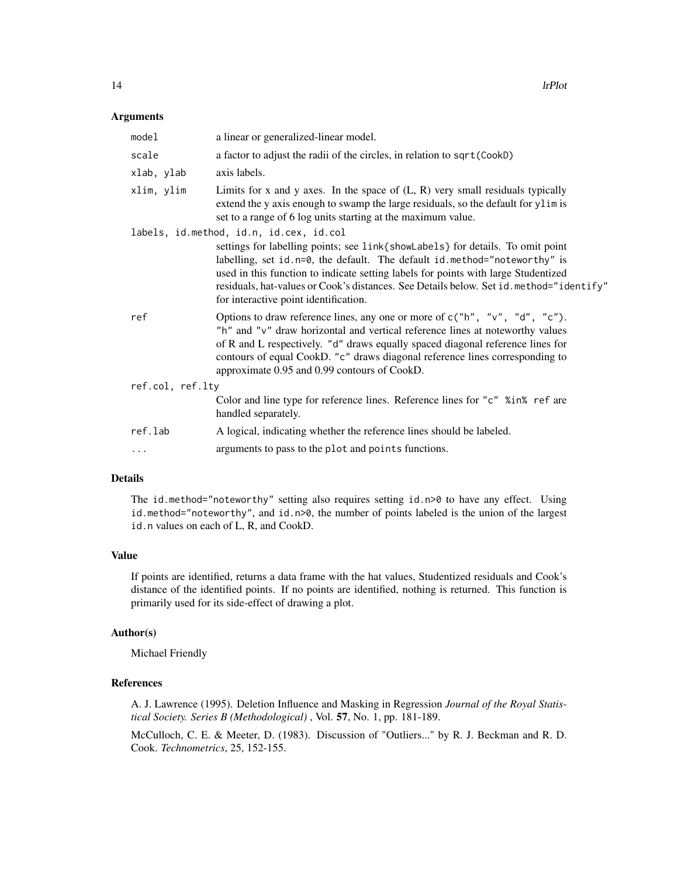### **Arguments**

| model            | a linear or generalized-linear model.                                                                                                                                                                                                                                                                                                                                                   |
|------------------|-----------------------------------------------------------------------------------------------------------------------------------------------------------------------------------------------------------------------------------------------------------------------------------------------------------------------------------------------------------------------------------------|
| scale            | a factor to adjust the radii of the circles, in relation to sqrt (CookD)                                                                                                                                                                                                                                                                                                                |
| xlab, ylab       | axis labels.                                                                                                                                                                                                                                                                                                                                                                            |
| xlim, ylim       | Limits for x and y axes. In the space of $(L, R)$ very small residuals typically<br>extend the y axis enough to swamp the large residuals, so the default for ylim is<br>set to a range of 6 log units starting at the maximum value.                                                                                                                                                   |
|                  | labels, id.method, id.n, id.cex, id.col                                                                                                                                                                                                                                                                                                                                                 |
|                  | settings for labelling points; see link{showLabels} for details. To omit point<br>labelling, set id. n=0, the default. The default id. method="noteworthy" is<br>used in this function to indicate setting labels for points with large Studentized<br>residuals, hat-values or Cook's distances. See Details below. Set id. method="identify"<br>for interactive point identification. |
| ref              | Options to draw reference lines, any one or more of $c("h", "v", "d", "c").$<br>"h" and "v" draw horizontal and vertical reference lines at noteworthy values<br>of R and L respectively. "d" draws equally spaced diagonal reference lines for<br>contours of equal CookD. "c" draws diagonal reference lines corresponding to<br>approximate 0.95 and 0.99 contours of CookD.         |
| ref.col, ref.lty |                                                                                                                                                                                                                                                                                                                                                                                         |
|                  | Color and line type for reference lines. Reference lines for "c" %in% ref are<br>handled separately.                                                                                                                                                                                                                                                                                    |
| ref.lab          | A logical, indicating whether the reference lines should be labeled.                                                                                                                                                                                                                                                                                                                    |
| .                | arguments to pass to the plot and points functions.                                                                                                                                                                                                                                                                                                                                     |
|                  |                                                                                                                                                                                                                                                                                                                                                                                         |

### Details

The id.method="noteworthy" setting also requires setting id.n>0 to have any effect. Using id.method="noteworthy", and id.n>0, the number of points labeled is the union of the largest id.n values on each of L, R, and CookD.

### Value

If points are identified, returns a data frame with the hat values, Studentized residuals and Cook's distance of the identified points. If no points are identified, nothing is returned. This function is primarily used for its side-effect of drawing a plot.

### Author(s)

Michael Friendly

### References

A. J. Lawrence (1995). Deletion Influence and Masking in Regression *Journal of the Royal Statistical Society. Series B (Methodological)* , Vol. 57, No. 1, pp. 181-189.

McCulloch, C. E. & Meeter, D. (1983). Discussion of "Outliers..." by R. J. Beckman and R. D. Cook. *Technometrics*, 25, 152-155.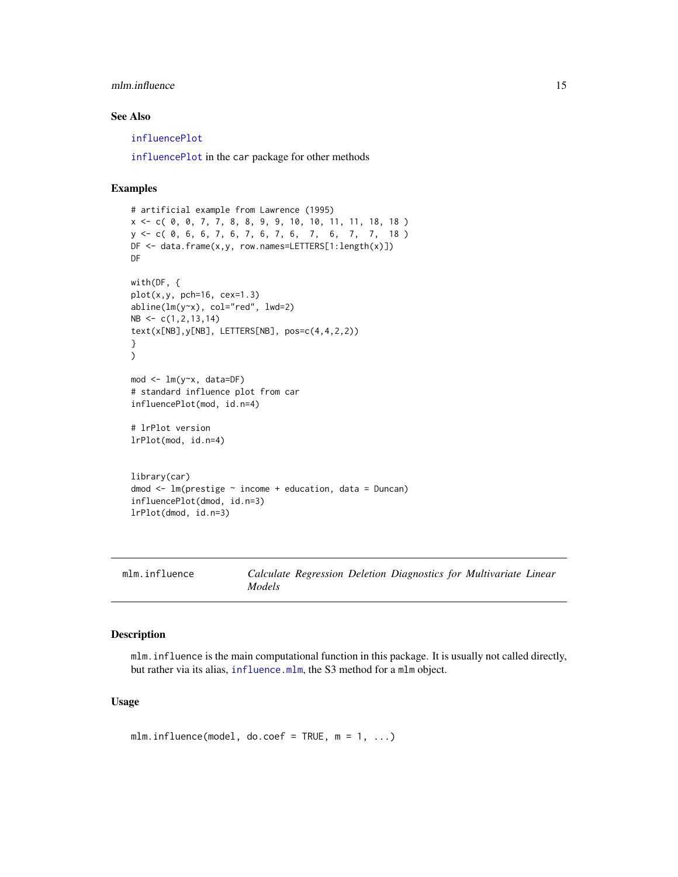### <span id="page-14-0"></span>mlm.influence 15

### See Also

[influencePlot](#page-0-0)

[influencePlot](#page-0-0) in the car package for other methods

### Examples

```
# artificial example from Lawrence (1995)
x <- c( 0, 0, 7, 7, 8, 8, 9, 9, 10, 10, 11, 11, 18, 18 )
y <- c( 0, 6, 6, 7, 6, 7, 6, 7, 6, 7, 6, 7, 7, 18 )
DF <- data.frame(x,y, row.names=LETTERS[1:length(x)])
DF
with(DF, {
plot(x,y, pch=16, cex=1.3)
abline(lm(y~x), col="red", lwd=2)
NB \leftarrow c(1, 2, 13, 14)text(x[NB],y[NB], LETTERS[NB], pos=c(4,4,2,2))
}
)
mod < -1m(y \sim x, data=DF)# standard influence plot from car
influencePlot(mod, id.n=4)
# lrPlot version
lrPlot(mod, id.n=4)
library(car)
dmod \leq lm(prestige \sim income + education, data = Duncan)
influencePlot(dmod, id.n=3)
lrPlot(dmod, id.n=3)
```
<span id="page-14-1"></span>

| mlm.influence |               |  |  | Calculate Regression Deletion Diagnostics for Multivariate Linear |  |
|---------------|---------------|--|--|-------------------------------------------------------------------|--|
|               | <i>Models</i> |  |  |                                                                   |  |

### Description

mlm.influence is the main computational function in this package. It is usually not called directly, but rather via its alias, [influence.mlm](#page-6-1), the S3 method for a mlm object.

### Usage

 $mlm.influence(model, do.coef = TRUE, m = 1, ...)$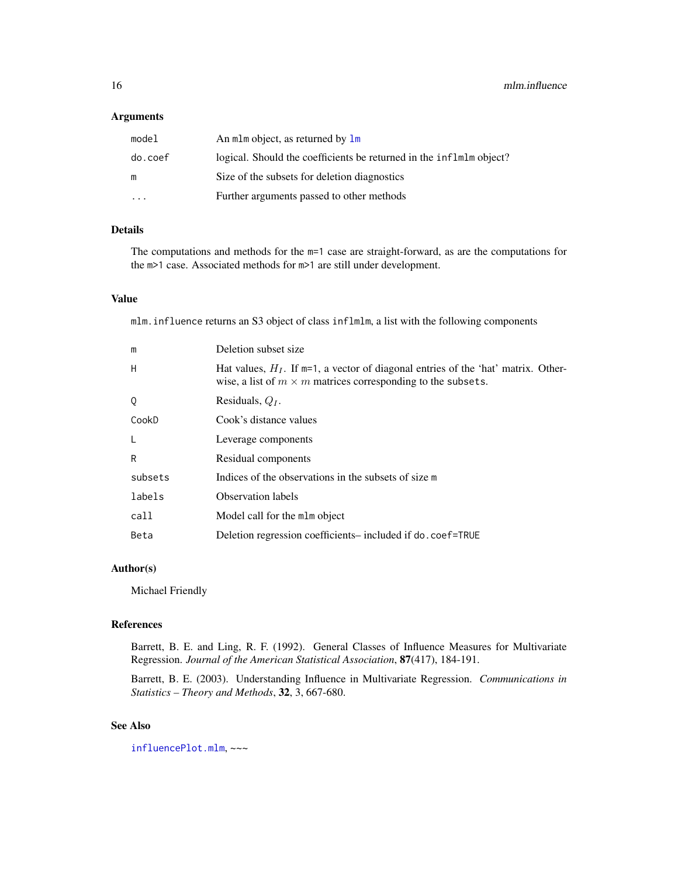### <span id="page-15-0"></span>Arguments

| model     | An mlm object, as returned by $\text{lm}$                           |
|-----------|---------------------------------------------------------------------|
| do.coef   | logical. Should the coefficients be returned in the inflmlm object? |
| m         | Size of the subsets for deletion diagnostics                        |
| $\ddotsc$ | Further arguments passed to other methods                           |

### Details

The computations and methods for the m=1 case are straight-forward, as are the computations for the m>1 case. Associated methods for m>1 are still under development.

### Value

mlm.influence returns an S3 object of class inflmlm, a list with the following components

| m       | Deletion subset size                                                                                                                                           |
|---------|----------------------------------------------------------------------------------------------------------------------------------------------------------------|
| H       | Hat values, $H_I$ . If $m=1$ , a vector of diagonal entries of the 'hat' matrix. Other-<br>wise, a list of $m \times m$ matrices corresponding to the subsets. |
| Q       | Residuals, $Q_I$ .                                                                                                                                             |
| CookD   | Cook's distance values                                                                                                                                         |
|         | Leverage components                                                                                                                                            |
| R       | Residual components                                                                                                                                            |
| subsets | Indices of the observations in the subsets of size m                                                                                                           |
| labels  | <b>Observation labels</b>                                                                                                                                      |
| call    | Model call for the mlm object                                                                                                                                  |
| Beta    | Deletion regression coefficients— included if do. coef=TRUE                                                                                                    |

### Author(s)

Michael Friendly

### References

Barrett, B. E. and Ling, R. F. (1992). General Classes of Influence Measures for Multivariate Regression. *Journal of the American Statistical Association*, 87(417), 184-191.

Barrett, B. E. (2003). Understanding Influence in Multivariate Regression. *Communications in Statistics – Theory and Methods*, 32, 3, 667-680.

### See Also

[influencePlot.mlm](#page-9-1), ~~~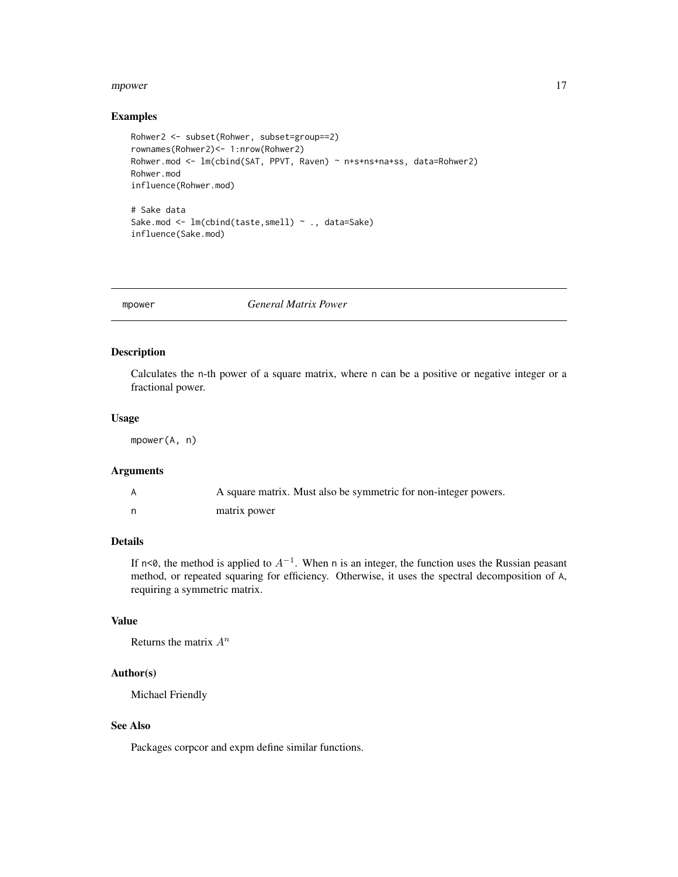### <span id="page-16-0"></span>mpower and the state of the state of the state of the state of the state of the state of the state of the state of the state of the state of the state of the state of the state of the state of the state of the state of the

### Examples

```
Rohwer2 <- subset(Rohwer, subset=group==2)
rownames(Rohwer2)<- 1:nrow(Rohwer2)
Rohwer.mod <- lm(cbind(SAT, PPVT, Raven) ~ n+s+ns+na+ss, data=Rohwer2)
Rohwer.mod
influence(Rohwer.mod)
# Sake data
Sake.mod <- lm(cbind(taste,smell) ~ ., data=Sake)
influence(Sake.mod)
```
mpower *General Matrix Power*

### Description

Calculates the n-th power of a square matrix, where n can be a positive or negative integer or a fractional power.

### Usage

mpower(A, n)

### Arguments

| A square matrix. Must also be symmetric for non-integer powers. |
|-----------------------------------------------------------------|
| matrix power                                                    |

### Details

If n<0, the method is applied to  $A^{-1}$ . When n is an integer, the function uses the Russian peasant method, or repeated squaring for efficiency. Otherwise, it uses the spectral decomposition of A, requiring a symmetric matrix.

### Value

Returns the matrix  $A^n$ 

### Author(s)

Michael Friendly

### See Also

Packages corpcor and expm define similar functions.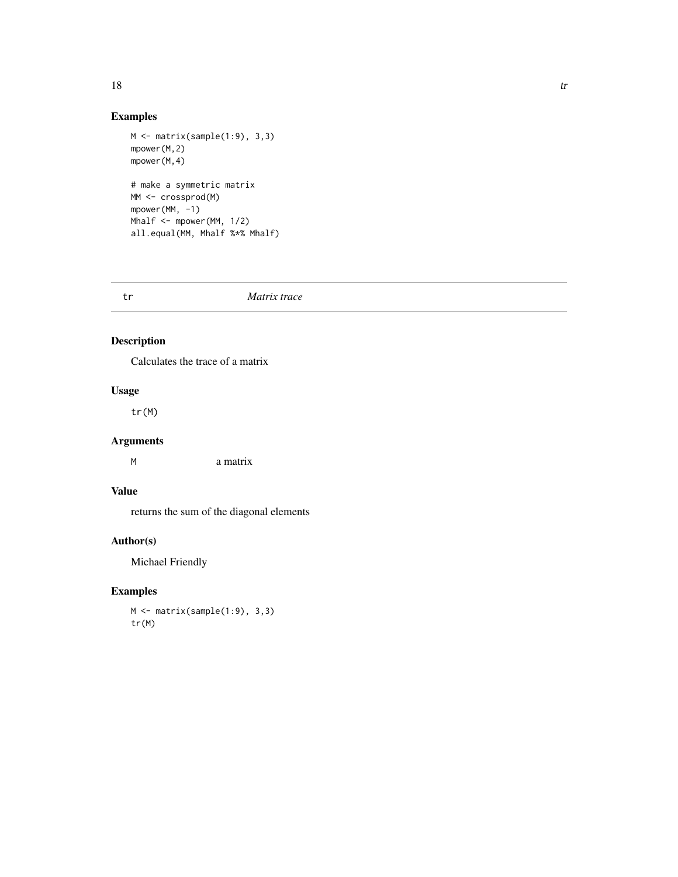### <span id="page-17-0"></span>Examples

```
M <- matrix(sample(1:9), 3,3)
mpower(M,2)
mpower(M,4)
# make a symmetric matrix
MM <- crossprod(M)
mpower(MM, -1)
Mhalf \leq mpower(MM, 1/2)
all.equal(MM, Mhalf %*% Mhalf)
```
### tr *Matrix trace*

### Description

Calculates the trace of a matrix

### Usage

tr(M)

### Arguments

M a matrix

### Value

returns the sum of the diagonal elements

### Author(s)

Michael Friendly

### Examples

M <- matrix(sample(1:9), 3,3) tr(M)